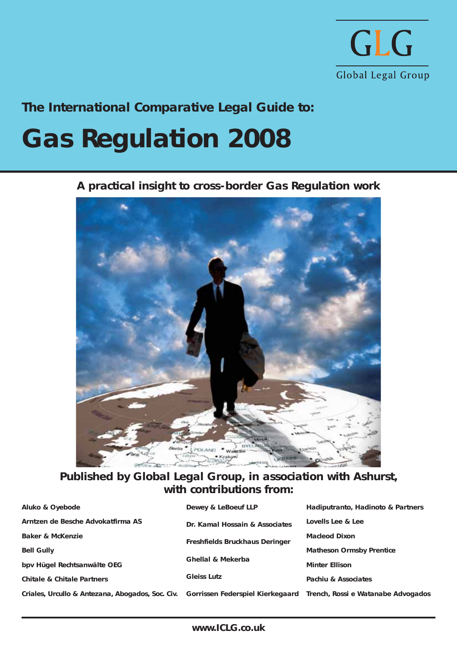

**The International Comparative Legal Guide to:**

## **Gas Regulation 2008**

**A practical insight to cross-border Gas Regulation work**



**Published by Global Legal Group, in association with Ashurst, with contributions from:**

| Aluko & Oyebode                                  | Dewey & LeBoeuf LLP              | Hadiputranto, Hadinoto & Partners  |
|--------------------------------------------------|----------------------------------|------------------------------------|
| Arntzen de Besche Advokatfirma AS                | Dr. Kamal Hossain & Associates   | Lovells Lee & Lee                  |
| Baker & McKenzie                                 | Freshfields Bruckhaus Deringer   | Macleod Dixon                      |
| <b>Bell Gully</b>                                |                                  | <b>Matheson Ormsby Prentice</b>    |
| bpv Hügel Rechtsanwälte OEG                      | Ghellal & Mekerba                | <b>Minter Ellison</b>              |
| Chitale & Chitale Partners                       | <b>Gleiss Lutz</b>               | Pachiu & Associates                |
| Criales, Urcullo & Antezana, Abogados, Soc. Civ. | Gorrissen Federspiel Kierkegaard | Trench, Rossi e Watanabe Advogados |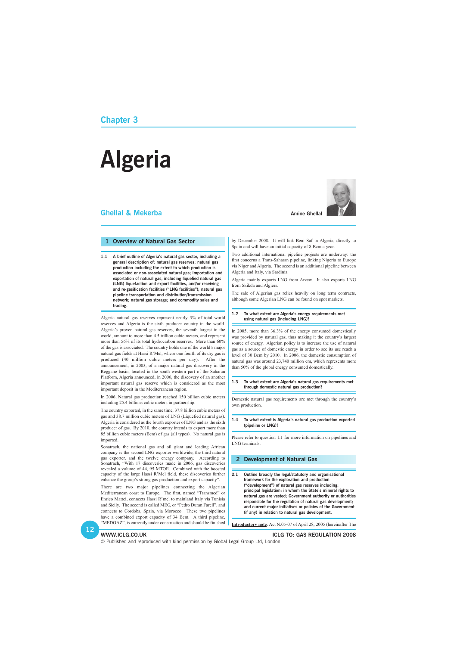### **Chapter 3**

### **Ghellal & Mekerba**



# **Algeria**

### **1 Overview of Natural Gas Sector**

**1.1 A brief outline of Algeria's natural gas sector, including a general description of: natural gas reserves; natural gas production including the extent to which production is associated or non-associated natural gas; importation and exportation of natural gas, including liquefied natural gas (LNG) liquefaction and export facilities, and/or receiving and re-gasification facilities ("LNG facilities"); natural gas pipeline transportation and distribution/transmission network; natural gas storage; and commodity sales and trading.**

Algeria natural gas reserves represent nearly 3% of total world reserves and Algeria is the sixth producer country in the world. Algeria's proven natural gas reserves, the seventh largest in the world, amount to more than 4.5 trillion cubic meters, and represent more than 56% of its total hydrocarbon reserves. More than 60% of the gas is associated. The country holds one of the world's major natural gas fields at Hassi R'Mel, where one fourth of its dry gas is produced (40 million cubic meters per day). After the announcement, in 2003, of a major natural gas discovery in the Reggane basin, located in the south western part of the Saharan Platform, Algeria announced, in 2006, the discovery of an another important natural gas reserve which is considered as the most important deposit in the Mediterranean region.

In 2006, Natural gas production reached 150 billion cubic meters including 25.4 billions cubic meters in partnership.

The country exported, in the same time, 37.8 billion cubic meters of gas and 38.7 million cubic meters of LNG (Liquefied natural gas). Algeria is considered as the fourth exporter of LNG and as the sixth producer of gas. By 2010, the country intends to export more than 85 billion cubic meters (Bcm) of gas (all types). No natural gas is imported.

Sonatrach, the national gas and oil giant and leading African company is the second LNG exporter worldwide, the third natural gas exporter, and the twelve energy company. According to Sonatrach, "With 17 discoveries made in 2006, gas discoveries revealed a volume of 44, 95 MTOE. Combined with the boosted capacity of the large Hassi R'Mel field, these discoveries further enhance the group's strong gas production and export capacity".

are two major pipelines connecting the Algerian

Mediterranean coast to Europe. The first, named "Transmed" or Enrico Mattei, connects Hassi R'mel to mainland Italy via Tunisia and Sicily. The second is called MEG, or "Pedro Duran Farell", and connects to Cordoba, Spain, via Morocco. These two pipelines have a combined export capacity of 34 Bcm. A third pipeline, "MEDGAZ", is currently under construction and should be finished by December 2008. It will link Beni Saf in Algeria, directly to Spain and will have an initial capacity of 8 Bcm a year.

Two additional international pipeline projects are underway: the first concerns a Trans-Saharan pipeline, linking Nigeria to Europe via Niger and Algeria. The second is an additional pipeline between Algeria and Italy, via Sardinia.

Algeria mainly exports LNG from Arzew. It also exports LNG from Skikda and Algiers.

The sale of Algerian gas relies heavily on long term contracts, although some Algerian LNG can be found on spot markets.

### **1.2 To what extent are Algeria's energy requirements met using natural gas (including LNG)?**

In 2005, more than 36.3% of the energy consumed domestically was provided by natural gas, thus making it the country's largest source of energy. Algerian policy is to increase the use of natural gas as a source of domestic energy in order to see its use reach a level of 30 Bcm by 2010. In 2006, the domestic consumption of natural gas was around 23,740 million cm, which represents more than 50% of the global energy consumed domestically.

### **1.3 To what extent are Algeria's natural gas requirements met through domestic natural gas production?**

Domestic natural gas requirements are met through the country's own production.

### **1.4 To what extent is Algeria's natural gas production exported (pipeline or LNG)?**

Please refer to question 1.1 for more information on pipelines and LNG terminals.

### **2 Development of Natural Gas**

**2.1 Outline broadly the legal/statutory and organisational framework for the exploration and production ("development") of natural gas reserves including:**

> **principal legislation; in whom the State's mineral rights to natural gas are vested; Government authority or authorities responsible for the regulation of natural gas development; and current major initiatives or policies of the Government (if any) in relation to natural gas development.**

**Introductory note**: Act N.05-07 of April 28, 2005 (hereinafter The

### **WWW.ICLG.CO.UK ICLG TO: GAS REGULATION 2008**

© Published and reproduced with kind permission by Global Legal Group Ltd, London

**Amine Ghellal**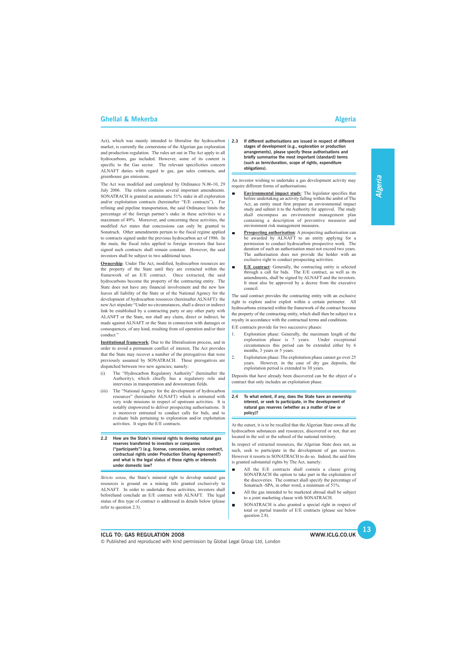

### **ICLG TO: GAS REGULATION 2008**

© Published and reproduced with kind permission by Global Legal Group Ltd, London

 $\blacksquare$ 

### **Ghellal & Mekerba** Algeria Algeria Algeria Algeria Algeria Algeria Algeria Algeria Algeria Algeria Algeria Algeria

Act), which was mainly intended to liberalise the hydrocarbon market, is currently the cornerstone of the Algerian gas exploration and production regulation. The rules set out in The Act apply to all hydrocarbons, gas included. However, some of its content is specific to the Gas sector. The relevant specificities concern ALNAFT duties with regard to gas, gas sales contracts, and greenhouse gas emissions.

The Act was modified and completed by Ordinance N.06-10, 29 July 2006. The reform contains several important amendments. SONATRACH is granted an automatic 51% stake in all exploration and/or exploitation contracts (hereinafter "E/E contracts"). For refining and pipeline transportation, the said Ordinance limits the percentage of the foreign partner's stake in these activities to a maximum of 49%. Moreover, and concerning these activities, the modified Act states that concessions can only be granted to Sonatrach. Other amendments pertain to the fiscal regime applied to contracts signed under the previous hydrocarbon act of 1986. In the main, the fiscal rules applied to foreign investors that have signed such contracts shall remain constant. However, the said investors shall be subject to two additional taxes.

**Ownership**: Under The Act, modified, hydrocarbon resources are the property of the State until they are extracted within the framework of an E/E contract. Once extracted, the said hydrocarbons become the property of the contracting entity. The State does not have any financial involvement and the new law leaves all liability of the State or of the National Agency for the development of hydrocarbon resources (hereinafter ALNAFT): the new Act stipulate "Under no circumstances, shall a direct or indirect link be established by a contracting party or any other party with ALANFT or the State, nor shall any claim, direct or indirect, be made against ALNAFT or the State in connection with damages or consequences, of any kind, resulting from oil operation and/or their conduct."

**Institutional framework**: Due to the liberalisation process, and in order to avoid a permanent conflict of interest, The Act provides that the State may recover a number of the prerogatives that were previously assumed by SONATRACH. These prerogatives are dispatched between two new agencies; namely:

- Exploration phase: Generally, the maximum length of the exploration phase is 7 years. Under exceptional circumstances this period can be extended either by 6 months, 3 years or 5 years.
- 2. Exploitation phase: The exploitation phase cannot go over 25 years. However, in the case of dry gas deposits, the exploitation period is extended to 30 years.
- (i) The "Hydrocarbon Regulatory Authority" (hereinafter the Authority), which chiefly has a regulatory role and intervenes in transportation and downstream fields.
- (iii) The "National Agency for the development of hydrocarbon resources" (hereinafter ALNAFT) which is entrusted with very wide missions in respect of upstream activities. It is notably empowered to deliver prospecting authorisations. It is moreover entrusted to conduct calls for bids, and to evaluate bids pertaining to exploration and/or exploitation activities. It signs the E/E contracts.
- **2.2 How are the State's mineral rights to develop natural gas reserves transferred to investors or companies ("participants") (e.g. license, concession, service contract, contractual rights under Production Sharing Agreement?) and what is the legal status of those rights or interests under domestic law?**

*Stricto sensu*, the State's mineral right to develop natural gas resources is ground on a mining title granted exclusively to ALNAFT. In order to undertake these activities, investors shall beforehand conclude an E/E contract with ALNAFT. The legal status of this type of contract is addressed in details below (please refer to question 2.3).

### **2.3 If different authorisations are issued in respect of different stages of development (e.g., exploration or production arrangements), please specify those authorisations and briefly summarise the most important (standard) terms (such as term/duration, scope of rights, expenditure obligations).**

An investor wishing to undertake a gas development activity may require different forms of authorisations.

- **Environmental impact study**: The legislator specifies that before undertaking an activity falling within the ambit of The Act, an entity must first prepare an environmental impact study and submit it to the Authority for approval. The study shall encompass an environment management plan containing a description of preventive measures and environment risk management measures.
- $\blacksquare$ **Prospecting authorisation**: A prospecting authorisation can be awarded by ALNAFT to an entity applying for a permission to conduct hydrocarbon prospective work. The duration of such an authorisation must not exceed two years. The authorisation does not provide the holder with an exclusive right to conduct prospecting activities.
- **E/E contract**: Generally, the contracting entity is selected  $\blacksquare$ through a call for bids. The E/E contract, as well as its amendments, shall be signed by ALNAFT and the investors. It must also be approved by a decree from the executive council.

The said contract provides the contracting entity with an exclusive right to explore and/or exploit within a certain perimeter. All hydrocarbons extracted within the framework of the contract become the property of the contracting entity, which shall then be subject to a royalty in accordance with the contractual terms and conditions.

E/E contracts provide for two successive phases:

Deposits that have already been discovered can be the object of a contract that only includes an exploitation phase.

### **2.4 To what extent, if any, does the State have an ownership interest, or seek to participate, in the development of natural gas reserves (whether as a matter of law or policy)?**

At the outset, it is to be recalled that the Algerian State owns all the hydrocarbon substances and resources, discovered or not, that are located in the soil or the subsoil of the national territory.

In respect of extracted resources, the Algerian State does not, as such, seek to participate in the development of gas reserves. However it resorts to SONATRACH to do so. Indeed, the said firm is granted substantial rights by The Act, namely:

All the E/E contracts shall contain a clause giving SONATRACH the option to take part in the exploitation of the discoveries. The contract shall specify the percentage of Sonatrach -SPA, in other word, a minimum of 51%.

- All the gas intended to be marketed abroad shall be subject to a joint marketing clause with SONATRACH.
- SONATRACH is also granted a special right in respect of  $\blacksquare$ total or partial transfer of E/E contracts (please see below question 2.8).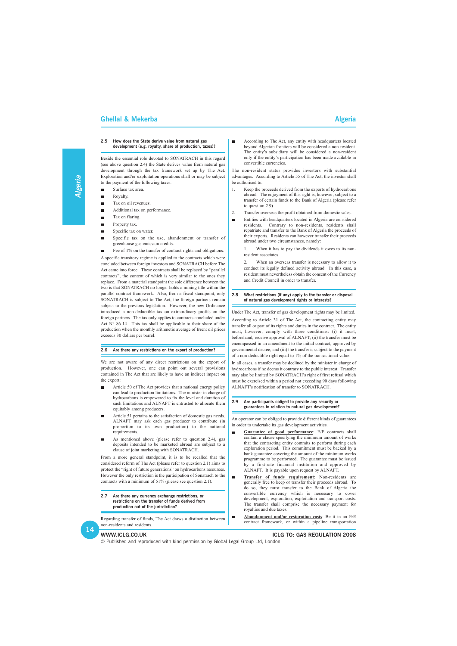### **WWW.ICLG.CO.UK ICLG TO: GAS REGULATION 2008**

© Published and reproduced with kind permission by Global Legal Group Ltd, London

### **Ghellal & Mekerba Algeria** Algeria Algeria Algeria Algeria Algeria Algeria Algeria Algeria Algeria Algeria Algeria

### **2.5 How does the State derive value from natural gas development (e.g. royalty, share of production, taxes)?**

- Surface tax area.  $\blacksquare$
- Royalty.
- Tax on oil revenues.
- Additional tax on performance.  $\blacksquare$
- Tax on flaring. г
- Property tax.
- Specific tax on water.  $\blacksquare$
- Specific tax on the use, abandonment or transfer of  $\blacksquare$ greenhouse gas emission credits.
- Fee of 1% on the transfer of contract rights and obligations.

Beside the essential role devoted to SONATRACH in this regard (see above question 2.4) the State derives value from natural gas development through the tax framework set up by The Act. Exploration and/or exploitation operations shall or may be subject to the payment of the following taxes:

A specific transitory regime is applied to the contracts which were concluded between foreign investors and SONATRACH before The Act came into force. These contracts shall be replaced by "parallel contracts", the content of which is very similar to the ones they replace. From a material standpoint the sole difference between the two is that SONATRACH no longer holds a mining title within the parallel contract framework. Also, from a fiscal standpoint, only SONATRACH is subject to The Act, the foreign partners remain subject to the previous legislation. However, the new Ordinance introduced a non-deductible tax on extraordinary profits on the foreign partners. The tax only applies to contracts concluded under Act N° 86-14. This tax shall be applicable to their share of the production when the monthly arithmetic average of Brent oil prices exceeds 30 dollars per barrel.

### **2.6 Are there any restrictions on the export of production?**

We are not aware of any direct restrictions on the export of production. However, one can point out several provisions contained in The Act that are likely to have an indirect impact on the export:

- Article 50 of The Act provides that a national energy policy can lead to production limitations. The minister in charge of hydrocarbons is empowered to fix the level and duration of such limitations and ALNAFT is entrusted to allocate them equitably among producers.
- Article 51 pertains to the satisfaction of domestic gas needs. ALNAFT may ask each gas producer to contribute (in proportion to its own production) to the national requirements.
- As mentioned above (please refer to question 2.4), gas deposits intended to be marketed abroad are subject to a clause of joint marketing with SONATRACH.

From a more general standpoint, it is to be recalled that the considered reform of The Act (please refer to question 2.1) aims to protect the "right of future generations" on hydrocarbons resources. However the only restriction is the participation of Sonatrach to the contracts with a minimum of 51% (please see question 2.1).

**2.7 Are there any currency exchange restrictions, or restrictions on the transfer of funds derived from production out of the jurisdiction?**

Regarding transfer of funds, The Act draws a distinction between non-residents and residents.

According to The Act, any entity with headquarters located beyond Algerian frontiers will be considered a non-resident. The entity's subsidiary will be considered a non-resident only if the entity's participation has been made available in convertible currencies.

The non-resident status provides investors with substantial advantages. According to Article 55 of The Act, the investor shall be authorised to:

- 1. Keep the proceeds derived from the exports of hydrocarbons abroad. The enjoyment of this right is, however, subject to a transfer of certain funds to the Bank of Algeria (please refer to question 2.9).
- 2. Transfer overseas the profit obtained from domestic sales.
- Entities with headquarters located in Algeria are considered  $\overline{\phantom{a}}$ residents. Contrary to non-residents, residents shall repatriate and transfer to the Bank of Algeria the proceeds of their exports. Residents can however transfer their proceeds abroad under two circumstances, namely:

1. When it has to pay the dividends it owes to its nonresident associates.

2. When an overseas transfer is necessary to allow it to conduct its legally defined activity abroad. In this case, a resident must nevertheless obtain the consent of the Currency and Credit Council in order to transfer.

### **2.8 What restrictions (if any) apply to the transfer or disposal of natural gas development rights or interests?**

Under The Act, transfer of gas development rights may be limited. According to Article 31 of The Act, the contracting entity may transfer all or part of its rights and duties in the contract. The entity must, however, comply with three conditions: (i) it must, beforehand, receive approval of ALNAFT; (ii) the transfer must be encompassed in an amendment to the initial contract, approved by governmental decree; and (iii) the transfer is subject to the payment of a non-deductible right equal to 1% of the transactional value.

In all cases, a transfer may be declined by the minister in charge of hydrocarbons if he deems it contrary to the public interest. Transfer may also be limited by SONATRACH's right of first refusal which must be exercised within a period not exceeding 90 days following ALNAFT's notification of transfer to SONATRACH.

### **2.9 Are participants obliged to provide any security or guarantees in relation to natural gas development?**

An operator can be obliged to provide different kinds of guarantees in order to undertake its gas development activities.

- **Guarantee of good performance**: E/E contracts shall  $\blacksquare$ contain a clause specifying the minimum amount of works that the contracting entity commits to perform during each exploration period. This commitment must be backed by a bank guarantee covering the amount of the minimum works programme to be performed. The guarantee must be issued by a first-rate financial institution and approved by ALNAFT. It is payable upon request by ALNAFT.
- **Transfer of funds requirement**: Non-residents are  $\blacksquare$ generally free to keep or transfer their proceeds abroad. To do so, they must transfer to the Bank of Algeria the convertible currency which is necessary to cover development, exploration, exploitation and transport costs. The transfer shall comprise the necessary payment for royalties and due taxes.

**Abandonment and/or restoration costs**: Be it in an E/E  $\blacksquare$ contract framework, or within a pipeline transportation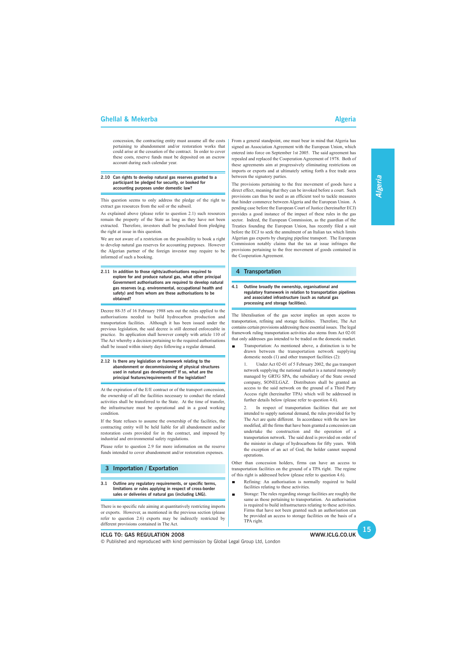

### **ICLG TO: GAS REGULATION 2008**

© Published and reproduced with kind permission by Global Legal Group Ltd, London

### **Ghellal & Mekerba** Algeria Algeria Algeria Algeria Algeria Algeria Algeria Algeria Algeria Algeria Algeria Algeria

concession, the contracting entity must assume all the costs pertaining to abandonment and/or restoration works that could arise at the cessation of the contract. In order to cover these costs, reserve funds must be deposited on an escrow account during each calendar year.

### **2.10 Can rights to develop natural gas reserves granted to a participant be pledged for security, or booked for accounting purposes under domestic law?**

This question seems to only address the pledge of the right to extract gas resources from the soil or the subsoil.

As explained above (please refer to question 2.1) such resources remain the property of the State as long as they have not been extracted. Therefore, investors shall be precluded from pledging the right at issue in this question.

We are not aware of a restriction on the possibility to book a right to develop natural gas reserves for accounting purposes. However the Algerian partner of the foreign investor may require to be informed of such a booking.

**2.11 In addition to those rights/authorisations required to explore for and produce natural gas, what other principal Government authorisations are required to develop natural gas reserves (e.g. environmental, occupational health and safety) and from whom are these authorisations to be obtained?**

Decree 88-35 of 16 February 1988 sets out the rules applied to the authorisations needed to build hydrocarbon production and transportation facilities. Although it has been issued under the previous legislation, the said decree is still deemed enforceable in practice. Its application shall however comply with article 110 of The Act whereby a decision pertaining to the required authorisations shall be issued within ninety days following a regular demand.

### **2.12 Is there any legislation or framework relating to the abandonment or decommissioning of physical structures used in natural gas development? If so, what are the principal features/requirements of the legislation?**

At the expiration of the E/E contract or of the transport concession, the ownership of all the facilities necessary to conduct the related activities shall be transferred to the State. At the time of transfer, the infrastructure must be operational and in a good working condition.

If the State refuses to assume the ownership of the facilities, the contracting entity will be held liable for all abandonment and/or restoration costs provided for in the contract, and imposed by industrial and environmental safety regulations.

Please refer to question 2.9 for more information on the reserve funds intended to cover abandonment and/or restoration expenses.

Under Act 02-01 of 5 February 2002, the gas transport network supplying the national market is a natural monopoly managed by GRTG SPA, the subsidiary of the State owned company, SONELGAZ. Distributors shall be granted an access to the said network on the ground of a Third Party Access right (hereinafter TPA) which will be addressed in further details below (please refer to question 4.6).

### **3 Importation / Exportation**

**3.1 Outline any regulatory requirements, or specific terms,**

**limitations or rules applying in respect of cross-border sales or deliveries of natural gas (including LNG).**

There is no specific rule aiming at quantitatively restricting imports or exports. However, as mentioned in the previous section (please refer to question 2.6) exports may be indirectly restricted by different provisions contained in The Act.

Refining: An authorisation is normally required to build  $\blacksquare$ facilities relating to these activities

From a general standpoint, one must bear in mind that Algeria has signed an Association Agreement with the European Union, which entered into force on September 1st 2005. The said agreement has repealed and replaced the Cooperation Agreement of 1978. Both of these agreements aim at progressively eliminating restrictions on imports or exports and at ultimately setting forth a free trade area between the signatory parties.

The provisions pertaining to the free movement of goods have a direct effect, meaning that they can be invoked before a court. Such provisions can thus be used as an efficient tool to tackle measures that hinder commerce between Algeria and the European Union. A pending case before the European Court of Justice (hereinafter ECJ) provides a good instance of the impact of these rules in the gas sector. Indeed, the European Commission, as the guardian of the Treaties founding the European Union, has recently filed a suit before the ECJ to seek the annulment of an Italian tax which limits Algerian gas exports by charging pipeline transport. The European Commission notably claims that the tax at issue infringes the provisions pertaining to the free movement of goods contained in the Cooperation Agreement.

### **4 Transportation**

### **4.1 Outline broadly the ownership, organisational and regulatory framework in relation to transportation pipelines and associated infrastructure (such as natural gas processing and storage facilities).**

The liberalisation of the gas sector implies an open access to transportation, refining and storage facilities. Therefore, The Act contains certain provisions addressing these essential issues. The legal framework ruling transportation activities also stems from Act 02-01 that only addresses gas intended to be traded on the domestic market.

Transportation: As mentioned above, a distinction is to be  $\blacksquare$ drawn between the transportation network supplying domestic needs (1) and other transport facilities (2):

2. In respect of transportation facilities that are not intended to supply national demand, the rules provided for by The Act are quite different. In accordance with the new law modified, all the firms that have been granted a concession can undertake the construction and the operation of a transportation network. The said deed is provided on order of the minister in charge of hydrocarbons for fifty years. With the exception of an act of God, the holder cannot suspend operations.

Other than concession holders, firms can have an access to transportation facilities on the ground of a TPA right. The regime of this right is addressed below (please refer to question 4.6).

- 
- Storage: The rules regarding storage facilities are roughly the same as those pertaining to transportation. An authorisation is required to build infrastructures relating to these activities. Firms that have not been granted such an authorisation can be provided an access to storage facilities on the basis of a TPA right.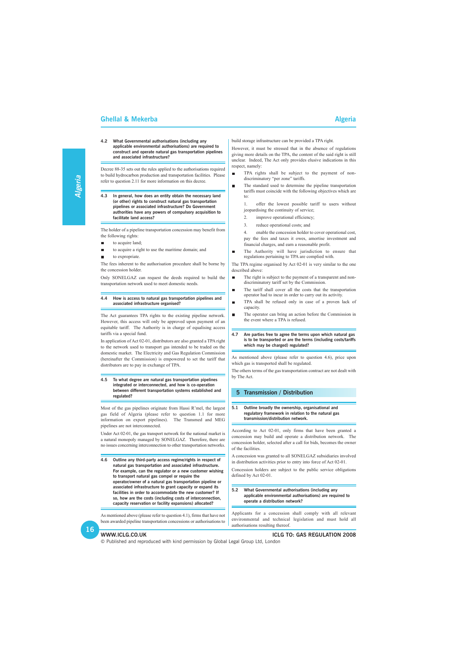

### **WWW.ICLG.CO.UK ICLG TO: GAS REGULATION 2008**

© Published and reproduced with kind permission by Global Legal Group Ltd, London

### **Ghellal & Mekerba** Algeria Algeria Algeria Algeria Algeria Algeria Algeria Algeria Algeria Algeria Algeria Algeria

### **4.2 What Governmental authorisations (including any applicable environmental authorisations) are required to construct and operate natural gas transportation pipelines and associated infrastructure?**

- to acquire land;  $\blacksquare$
- to acquire a right to use the maritime domain; and  $\blacksquare$
- to expropriate.

Decree 88-35 sets out the rules applied to the authorisations required to build hydrocarbon production and transportation facilities. Please refer to question 2.11 for more information on this decree.

**4.3 In general, how does an entity obtain the necessary land (or other) rights to construct natural gas transportation pipelines or associated infrastructure? Do Government authorities have any powers of compulsory acquisition to facilitate land access?**

The holder of a pipeline transportation concession may benefit from the following rights:

The fees inherent to the authorisation procedure shall be borne by the concession holder.

Only SONELGAZ can request the deeds required to build the transportation network used to meet domestic needs.

### **4.4 How is access to natural gas transportation pipelines and associated infrastructure organised?**

The Act guarantees TPA rights to the existing pipeline network. However, this access will only be approved upon payment of an equitable tariff. The Authority is in charge of equalising access tariffs via a special fund.

In application of Act 02-01, distributors are also granted a TPA right to the network used to transport gas intended to be traded on the domestic market. The Electricity and Gas Regulation Commission (hereinafter the Commission) is empowered to set the tariff that distributors are to pay in exchange of TPA.

### **4.5 To what degree are natural gas transportation pipelines integrated or interconnected, and how is co-operation between different transportation systems established and regulated?**

Most of the gas pipelines originate from Hassi R'mel, the largest gas field of Algeria (please refer to question 1.1 for more information on export pipelines). The Transmed and MEG pipelines are not interconnected.

Under Act 02-01, the gas transport network for the national market is a natural monopoly managed by SONELGAZ. Therefore, there are no issues concerning interconnection to other transportation networks.

**4.6 Outline any third-party access regime/rights in respect of natural gas transportation and associated infrastructure. For example, can the regulator or a new customer wishing to transport natural gas compel or require the operator/owner of a natural gas transportation pipeline or associated infrastructure to grant capacity or expand its**

**facilities in order to accommodate the new customer? If so, how are the costs (including costs of interconnection, capacity reservation or facility expansions) allocated?**

As mentioned above (please refer to question 4.1), firms that have not been awarded pipeline transportation concessions or authorisations to

build storage infrastructure can be provided a TPA right.

However, it must be stressed that in the absence of regulations giving more details on the TPA, the content of the said right is still unclear. Indeed, The Act only provides elusive indications in this respect, namely:

- TPA rights shall be subject to the payment of non- $\blacksquare$ discriminatory "per zone" tariffs.
- The standard used to determine the pipeline transportation tariffs must coincide with the following objectives which are to:

1. offer the lowest possible tariff to users without jeopardising the continuity of service;

- 2. improve operational efficiency;
- 3. reduce operational costs; and

4. enable the concession holder to cover operational cost, pay the fees and taxes it owes, amortise investment and financial charges, and earn a reasonable profit.

The Authority will have jurisdiction to ensure that  $\blacksquare$ regulations pertaining to TPA are complied with.

The TPA regime organised by Act 02-01 is very similar to the one described above:

- The right is subject to the payment of a transparent and non- $\blacksquare$ discriminatory tariff set by the Commission.
- The tariff shall cover all the costs that the transportation operator had to incur in order to carry out its activity.
- $\blacksquare$ TPA shall be refused only in case of a proven lack of capacity.
- The operator can bring an action before the Commission in  $\blacksquare$ the event where a TPA is refused.
- **4.7 Are parties free to agree the terms upon which natural gas is to be transported or are the terms (including costs/tariffs which may be charged) regulated?**

As mentioned above (please refer to question 4.6), price upon which gas is transported shall be regulated.

The others terms of the gas transportation contract are not dealt with by The Act.

### **5 Transmission / Distribution**

### **5.1 Outline broadly the ownership, organisational and regulatory framework in relation to the natural gas transmission/distribution network.**

According to Act 02-01, only firms that have been granted a concession may build and operate a distribution network. The concession holder, selected after a call for bids, becomes the owner of the facilities.

A concession was granted to all SONELGAZ subsidiaries involved in distribution activities prior to entry into force of Act 02-01.

Concession holders are subject to the public service obligations defined by Act 02-01.

**5.2 What Governmental authorisations (including any applicable environmental authorisations) are required to operate a distribution network?**

Applicants for a concession shall comply with all relevant environmental and technical legislation and must hold all authorisations resulting thereof.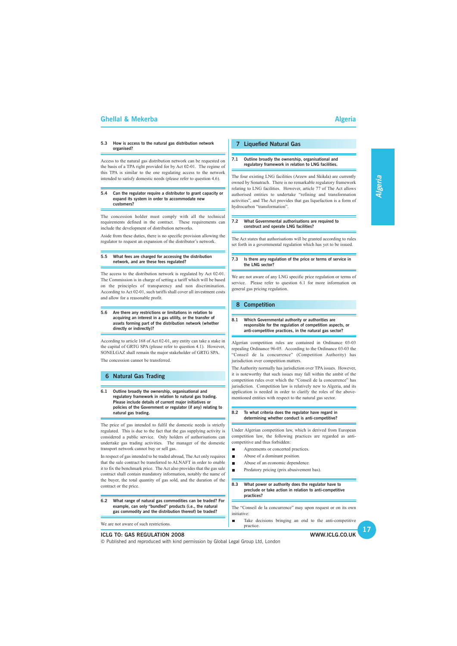### **Ghellal & Mekerba** Algeria Algeria Algeria Algeria Algeria Algeria Algeria Algeria Algeria Algeria Algeria Algeria

### **5.3 How is access to the natural gas distribution network organised?**

Access to the natural gas distribution network can be requested on the basis of a TPA right provided for by Act 02-01. The regime of this TPA is similar to the one regulating access to the network intended to satisfy domestic needs (please refer to question 4.6).

### **5.4 Can the regulator require a distributor to grant capacity or expand its system in order to accommodate new customers?**

The concession holder must comply with all the technical requirements defined in the contract. These requirements can include the development of distribution networks.

Aside from these duties, there is no specific provision allowing the regulator to request an expansion of the distributor's network.

### **5.5 What fees are charged for accessing the distribution network, and are these fees regulated?**

The access to the distribution network is regulated by Act 02-01. The Commission is in charge of setting a tariff which will be based on the principles of transparency and non discrimination. According to Act 02-01, such tariffs shall cover all investment costs and allow for a reasonable profit.

### **5.6 Are there any restrictions or limitations in relation to acquiring an interest in a gas utility, or the transfer of assets forming part of the distribution network (whether directly or indirectly)?**

According to article 168 of Act 02-01, any entity can take a stake in the capital of GRTG SPA (please refer to question 4.1). However, SONELGAZ shall remain the major stakeholder of GRTG SPA.

The concession cannot be transferred.

### **6 Natural Gas Trading**

### **6.1 Outline broadly the ownership, organisational and regulatory framework in relation to natural gas trading. Please include details of current major initiatives or policies of the Government or regulator (if any) relating to natural gas trading.**

The price of gas intended to fulfil the domestic needs is strictly regulated. This is due to the fact that the gas supplying activity is considered a public service. Only holders of authorisations can undertake gas trading activities. The manager of the domestic transport network cannot buy or sell gas.

In respect of gas intended to be traded abroad, The Act only requires that the sale contract be transferred to ALNAFT in order to enable it to fix the benchmark price. The Act also provides that the gas sale contract shall contain mandatory information, notably the name of the buyer, the total quantity of gas sold, and the duration of the contract or the price.

### **WWW.ICLG.CO.UK 17 ICLG TO: GAS REGULATION 2008** © Published and reproduced with kind permission by Global Legal Group Ltd, London **6.2 What range of natural gas commodities can be traded? For example, can only "bundled" products (i.e., the natural gas commodity and the distribution thereof) be traded?** We are not aware of such restrictions. **practices?** The "Conseil de la concurrence" may upon request or on its own initiative: Take decisions bringing an end to the anti-competitive practice.

### **7 Liquefied Natural Gas**

### **7.1 Outline broadly the ownership, organisational and regulatory framework in relation to LNG facilities.**

The four existing LNG facilities (Arzew and Skikda) are currently owned by Sonatrach. There is no remarkable regulatory framework relating to LNG facilities. However, article 77 of The Act allows authorised entities to undertake "refining and transformation activities", and The Act provides that gas liquefaction is a form of hydrocarbon "transformation".

### **7.2 What Governmental authorisations are required to construct and operate LNG facilities?**

The Act states that authorisations will be granted according to rules set forth in a governmental regulation which has yet to be issued.

### **7.3 Is there any regulation of the price or terms of service in the LNG sector?**

We are not aware of any LNG specific price regulation or terms of service. Please refer to question 6.1 for more information on general gas pricing regulation.

### **8 Competition**

### **8.1 Which Governmental authority or authorities are responsible for the regulation of competition aspects, or anti-competitive practices, in the natural gas sector?**

Algerian competition rules are contained in Ordinance 03-03 repealing Ordinance 96-05. According to the Ordinance 03-03 the "Conseil de la concurrence" (Competition Authority) has jurisdiction over competition matters.

The Authority normally has jurisdiction over TPA issues. However, it is noteworthy that such issues may fall within the ambit of the competition rules over which the "Conseil de la concurrence" has jurisdiction. Competition law is relatively new to Algeria, and its application is needed in order to clarify the roles of the abovementioned entities with respect to the natural gas sector.

### **8.2 To what criteria does the regulator have regard in determining whether conduct is anti-competitive?**

Under Algerian competition law, which is derived from European competition law, the following practices are regarded as anticompetitive and thus forbidden:

- $\blacksquare$ Agreements or concerted practices.
- Abuse of a dominant position.  $\blacksquare$
- Abuse of an economic dependence.  $\blacksquare$
- Predatory pricing (prix abusivement bas).  $\blacksquare$

### **8.3 What power or authority does the regulator have to**

**preclude or take action in relation to anti-competitive**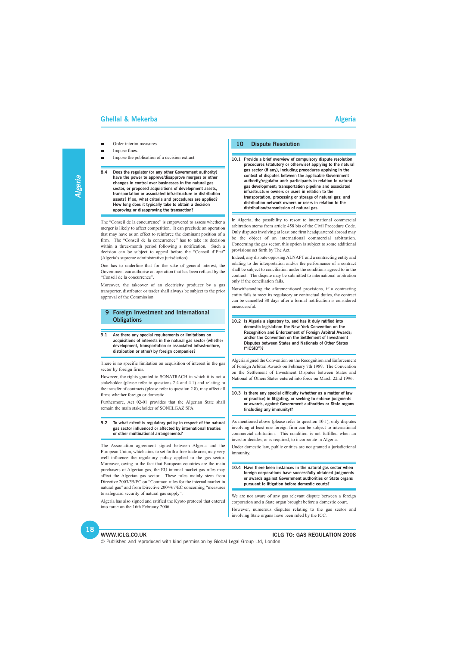### **WWW.ICLG.CO.UK ICLG TO: GAS REGULATION 2008**

© Published and reproduced with kind permission by Global Legal Group Ltd, London

### **Ghellal & Mekerba** Algeria Algeria Algeria Algeria Algeria Algeria Algeria Algeria Algeria Algeria Algeria Algeria

- Order interim measures.
- Impose fines.
- Impose the publication of a decision extract.

**8.4 Does the regulator (or any other Government authority) have the power to approve/disapprove mergers or other changes in control over businesses in the natural gas sector, or proposed acquisitions of development assets, transportation or associated infrastructure or distribution assets? If so, what criteria and procedures are applied? How long does it typically take to obtain a decision approving or disapproving the transaction?**

The "Conseil de la concurrence" is empowered to assess whether a merger is likely to affect competition. It can preclude an operation that may have as an effect to reinforce the dominant position of a firm. The "Conseil de la concurrence" has to take its decision within a three-month period following a notification. Such a decision can be subject to appeal before the "Conseil d'Etat" (Algeria's supreme administrative jurisdiction).

One has to underline that for the sake of general interest, the Government can authorise an operation that has been refused by the "Conseil de la concurrence".

Moreover, the takeover of an electricity producer by a gas transporter, distributor or trader shall always be subject to the prior approval of the Commission.

### **9 Foreign Investment and International Obligations**

**9.1 Are there any special requirements or limitations on acquisitions of interests in the natural gas sector (whether development, transportation or associated infrastructure, distribution or other) by foreign companies?**

There is no specific limitation on acquisition of interest in the gas sector by foreign firms.

However, the rights granted to SONATRACH in which it is not a stakeholder (please refer to questions 2.4 and 4.1) and relating to the transfer of contracts (please refer to question 2.8), may affect all firms whether foreign or domestic.

Furthermore, Act 02-01 provides that the Algerian State shall remain the main stakeholder of SONELGAZ SPA.

### **9.2 To what extent is regulatory policy in respect of the natural gas sector influenced or affected by international treaties or other multinational arrangements?**

The Association agreement signed between Algeria and the European Union, which aims to set forth a free trade area, may very well influence the regulatory policy applied to the gas sector. Moreover, owing to the fact that European countries are the main purchasers of Algerian gas, the EU internal market gas rules may affect the Algerian gas sector. These rules mainly stem from Directive 2003/55/EC on "Common rules for the internal market in natural gas" and from Directive 2004/67/EC concerning to safeguard security of natural gas supply".

Algeria has also signed and ratified the Kyoto protocol that entered into force on the 16th February 2006.

### **10 Dispute Resolution**

**10.1 Provide a brief overview of compulsory dispute resolution procedures (statutory or otherwise) applying to the natural gas sector (if any), including procedures applying in the context of disputes between the applicable Government authority/regulator and: participants in relation to natural gas development; transportation pipeline and associated infrastructure owners or users in relation to the transportation, processing or storage of natural gas; and distribution network owners or users in relation to the distribution/transmission of natural gas.**

In Algeria, the possibility to resort to international commercial arbitration stems from article 458 bis of the Civil Procedure Code. Only disputes involving at least one firm headquartered abroad may be the object of an international commercial arbitration. Concerning the gas sector, this option is subject to some additional provisions set forth by The Act.

Indeed, any dispute opposing ALNAFT and a contracting entity and relating to the interpretation and/or the performance of a contract shall be subject to conciliation under the conditions agreed to in the contract. The dispute may be submitted to international arbitration only if the conciliation fails.

Notwithstanding the aforementioned provisions, if a contracting entity fails to meet its regulatory or contractual duties, the contract can be cancelled 30 days after a formal notification is considered unsuccessful.

**10.2 Is Algeria a signatory to, and has it duly ratified into domestic legislation: the New York Convention on the Recognition and Enforcement of Foreign Arbitral Awards; and/or the Convention on the Settlement of Investment Disputes between States and Nationals of Other States ("ICSID")?**

Algeria signed the Convention on the Recognition and Enforcement of Foreign Arbitral Awards on February 7th 1989. The Convention on the Settlement of Investment Disputes between States and National of Others States entered into force on March 22nd 1996.

### **10.3 Is there any special difficulty (whether as a matter of law or practice) in litigating, or seeking to enforce judgments or awards, against Government authorities or State organs (including any immunity)?**

As mentioned above (please refer to question 10.1), only disputes involving at least one foreign firm can be subject to international commercial arbitration. This condition is not fulfilled when an investor decides, or is required, to incorporate in Algeria.

Under domestic law, public entities are not granted a jurisdictional immunity.

**10.4 Have there been instances in the natural gas sector when foreign corporations have successfully obtained judgments or awards against Government authorities or State organs pursuant to litigation before domestic courts?**

We are not aware of any gas relevant dispute between a foreign corporation and a State organ brought before a domestic court. However, numerous disputes relating to the gas sector and involving State organs have been ruled by the ICC.

**Algeria**